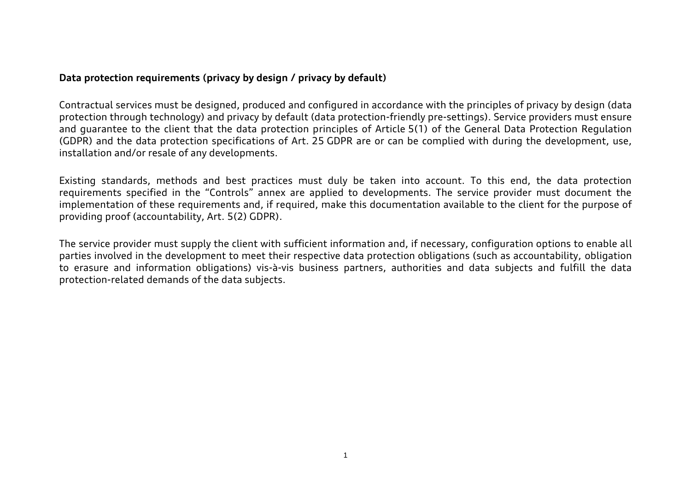## **Data protection requirements (privacy by design / privacy by default)**

Contractual services must be designed, produced and configured in accordance with the principles of privacy by design (data protection through technology) and privacy by default (data protection-friendly pre-settings). Service providers must ensure and guarantee to the client that the data protection principles of Article 5(1) of the General Data Protection Regulation (GDPR) and the data protection specifications of Art. 25 GDPR are or can be complied with during the development, use, installation and/or resale of any developments.

Existing standards, methods and best practices must duly be taken into account. To this end, the data protection requirements specified in the "Controls" annex are applied to developments. The service provider must document the implementation of these requirements and, if required, make this documentation available to the client for the purpose of providing proof (accountability, Art. 5(2) GDPR).

The service provider must supply the client with sufficient information and, if necessary, configuration options to enable all parties involved in the development to meet their respective data protection obligations (such as accountability, obligation to erasure and information obligations) vis-à-vis business partners, authorities and data subjects and fulfill the data protection-related demands of the data subjects.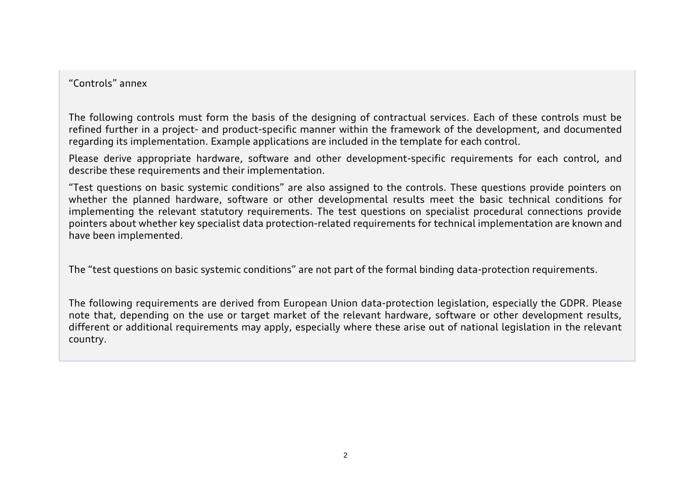## "Controls" annex

The following controls must form the basis of the designing of contractual services. Each of these controls must be refined further in a project- and product-specific manner within the framework of the development, and documented regarding its implementation. Example applications are included in the template for each control.

Please derive appropriate hardware, software and other development-specific requirements for each control, and describe these requirements and their implementation.

"Test questions on basic systemic conditions" are also assigned to the controls. These questions provide pointers on whether the planned hardware, software or other developmental results meet the basic technical conditions for implementing the relevant statutory requirements. The test questions on specialist procedural connections provide pointers about whether key specialist data protection-related requirements for technical implementation are known and have been implemented.

The "test questions on basic systemic conditions" are not part of the formal binding data-protection requirements.

The following requirements are derived from European Union data-protection legislation, especially the GDPR. Please note that, depending on the use or target market of the relevant hardware, software or other development results, different or additional requirements may apply, especially where these arise out of national legislation in the relevant country.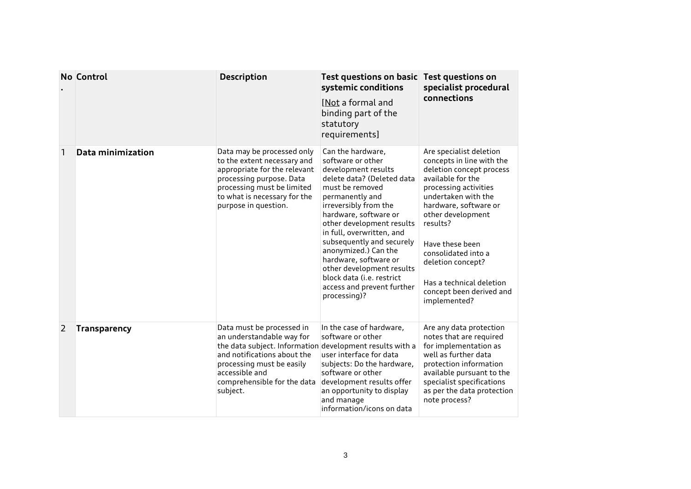|                | <b>No Control</b>   | <b>Description</b>                                                                                                                                                                                                                          | Test questions on basic<br>systemic conditions<br><b>Not a formal and</b><br>binding part of the<br>statutory<br>requirements]                                                                                                                                                                                                                                                                                                      | <b>Test questions on</b><br>specialist procedural<br>connections                                                                                                                                                                                                                                                                                       |
|----------------|---------------------|---------------------------------------------------------------------------------------------------------------------------------------------------------------------------------------------------------------------------------------------|-------------------------------------------------------------------------------------------------------------------------------------------------------------------------------------------------------------------------------------------------------------------------------------------------------------------------------------------------------------------------------------------------------------------------------------|--------------------------------------------------------------------------------------------------------------------------------------------------------------------------------------------------------------------------------------------------------------------------------------------------------------------------------------------------------|
| 1              | Data minimization   | Data may be processed only<br>to the extent necessary and<br>appropriate for the relevant<br>processing purpose. Data<br>processing must be limited<br>to what is necessary for the<br>purpose in question.                                 | Can the hardware,<br>software or other<br>development results<br>delete data? (Deleted data<br>must be removed<br>permanently and<br>irreversibly from the<br>hardware, software or<br>other development results<br>in full, overwritten, and<br>subsequently and securely<br>anonymized.) Can the<br>hardware, software or<br>other development results<br>block data (i.e. restrict<br>access and prevent further<br>processing)? | Are specialist deletion<br>concepts in line with the<br>deletion concept process<br>available for the<br>processing activities<br>undertaken with the<br>hardware, software or<br>other development<br>results?<br>Have these been<br>consolidated into a<br>deletion concept?<br>Has a technical deletion<br>concept been derived and<br>implemented? |
| $\overline{2}$ | <b>Transparency</b> | Data must be processed in<br>an understandable way for<br>the data subject. Information development results with a<br>and notifications about the<br>processing must be easily<br>accessible and<br>comprehensible for the data<br>subject. | In the case of hardware,<br>software or other<br>user interface for data<br>subjects: Do the hardware,<br>software or other<br>development results offer<br>an opportunity to display<br>and manage<br>information/icons on data                                                                                                                                                                                                    | Are any data protection<br>notes that are required<br>for implementation as<br>well as further data<br>protection information<br>available pursuant to the<br>specialist specifications<br>as per the data protection<br>note process?                                                                                                                 |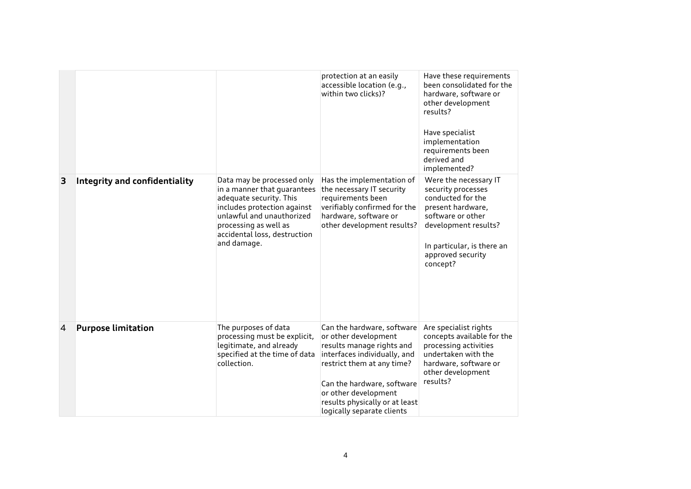|                |                               |                                                                                                                                                                                                                          | protection at an easily<br>accessible location (e.g.,<br>within two clicks)?                                                                                                                                                                                        | Have these requirements<br>been consolidated for the<br>hardware, software or<br>other development<br>results?<br>Have specialist<br>implementation<br>requirements been<br>derived and<br>implemented? |
|----------------|-------------------------------|--------------------------------------------------------------------------------------------------------------------------------------------------------------------------------------------------------------------------|---------------------------------------------------------------------------------------------------------------------------------------------------------------------------------------------------------------------------------------------------------------------|---------------------------------------------------------------------------------------------------------------------------------------------------------------------------------------------------------|
| 3              | Integrity and confidentiality | Data may be processed only<br>in a manner that guarantees<br>adequate security. This<br>includes protection against<br>unlawful and unauthorized<br>processing as well as<br>accidental loss, destruction<br>and damage. | Has the implementation of<br>the necessary IT security<br>requirements been<br>verifiably confirmed for the<br>hardware, software or<br>other development results?                                                                                                  | Were the necessary IT<br>security processes<br>conducted for the<br>present hardware,<br>software or other<br>development results?<br>In particular, is there an<br>approved security<br>concept?       |
| $\overline{4}$ | <b>Purpose limitation</b>     | The purposes of data<br>processing must be explicit,<br>legitimate, and already<br>specified at the time of data<br>collection.                                                                                          | Can the hardware, software<br>or other development<br>results manage rights and<br>interfaces individually, and<br>restrict them at any time?<br>Can the hardware, software<br>or other development<br>results physically or at least<br>logically separate clients | Are specialist rights<br>concepts available for the<br>processing activities<br>undertaken with the<br>hardware, software or<br>other development<br>results?                                           |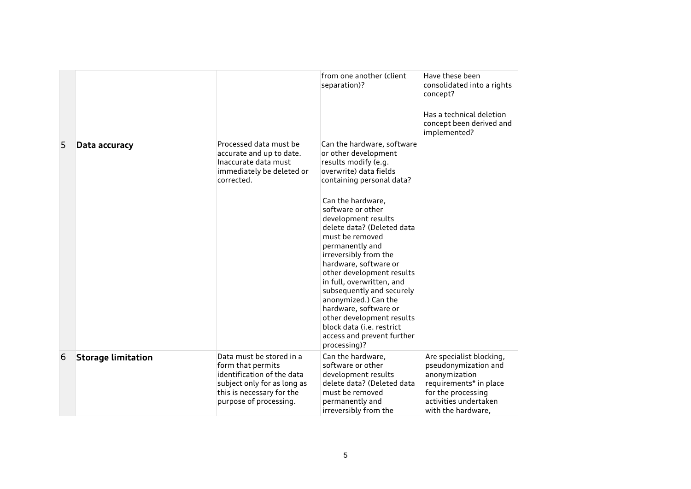|   |                           |                                                                                                                                                                   | from one another (client<br>separation)?                                                                                                                                                                                                                                                                                                                                                                                                                                                                                                                                         | Have these been<br>consolidated into a rights<br>concept?<br>Has a technical deletion<br>concept been derived and<br>implemented?                                |
|---|---------------------------|-------------------------------------------------------------------------------------------------------------------------------------------------------------------|----------------------------------------------------------------------------------------------------------------------------------------------------------------------------------------------------------------------------------------------------------------------------------------------------------------------------------------------------------------------------------------------------------------------------------------------------------------------------------------------------------------------------------------------------------------------------------|------------------------------------------------------------------------------------------------------------------------------------------------------------------|
| 5 | Data accuracy             | Processed data must be<br>accurate and up to date.<br>Inaccurate data must<br>immediately be deleted or<br>corrected.                                             | Can the hardware, software<br>or other development<br>results modify (e.g.<br>overwrite) data fields<br>containing personal data?<br>Can the hardware,<br>software or other<br>development results<br>delete data? (Deleted data<br>must be removed<br>permanently and<br>irreversibly from the<br>hardware, software or<br>other development results<br>in full, overwritten, and<br>subsequently and securely<br>anonymized.) Can the<br>hardware, software or<br>other development results<br>block data ( <i>i.e.</i> restrict<br>access and prevent further<br>processing)? |                                                                                                                                                                  |
| 6 | <b>Storage limitation</b> | Data must be stored in a<br>form that permits<br>identification of the data<br>subject only for as long as<br>this is necessary for the<br>purpose of processing. | Can the hardware,<br>software or other<br>development results<br>delete data? (Deleted data<br>must be removed<br>permanently and<br>irreversibly from the                                                                                                                                                                                                                                                                                                                                                                                                                       | Are specialist blocking,<br>pseudonymization and<br>anonymization<br>requirements* in place<br>for the processing<br>activities undertaken<br>with the hardware, |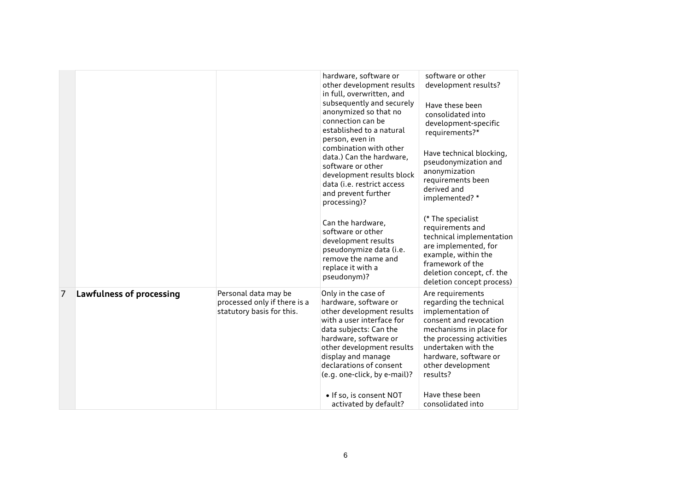|   |                          |                                                                                   | hardware, software or<br>other development results<br>in full, overwritten, and<br>subsequently and securely<br>anonymized so that no<br>connection can be<br>established to a natural<br>person, even in<br>combination with other<br>data.) Can the hardware,<br>software or other<br>development results block<br>data (i.e. restrict access<br>and prevent further<br>processing)?<br>Can the hardware,<br>software or other<br>development results<br>pseudonymize data (i.e. | software or other<br>development results?<br>Have these been<br>consolidated into<br>development-specific<br>requirements?*<br>Have technical blocking,<br>pseudonymization and<br>anonymization<br>requirements been<br>derived and<br>implemented?*<br>(* The specialist<br>requirements and<br>technical implementation<br>are implemented, for |
|---|--------------------------|-----------------------------------------------------------------------------------|------------------------------------------------------------------------------------------------------------------------------------------------------------------------------------------------------------------------------------------------------------------------------------------------------------------------------------------------------------------------------------------------------------------------------------------------------------------------------------|----------------------------------------------------------------------------------------------------------------------------------------------------------------------------------------------------------------------------------------------------------------------------------------------------------------------------------------------------|
|   |                          |                                                                                   | remove the name and<br>replace it with a<br>pseudonym)?                                                                                                                                                                                                                                                                                                                                                                                                                            | example, within the<br>framework of the<br>deletion concept, cf. the<br>deletion concept process)                                                                                                                                                                                                                                                  |
| 7 | Lawfulness of processing | Personal data may be<br>processed only if there is a<br>statutory basis for this. | Only in the case of<br>hardware, software or<br>other development results<br>with a user interface for<br>data subjects: Can the<br>hardware, software or<br>other development results<br>display and manage<br>declarations of consent<br>(e.g. one-click, by e-mail)?<br>· If so, is consent NOT                                                                                                                                                                                 | Are requirements<br>regarding the technical<br>implementation of<br>consent and revocation<br>mechanisms in place for<br>the processing activities<br>undertaken with the<br>hardware, software or<br>other development<br>results?<br>Have these been                                                                                             |
|   |                          |                                                                                   | activated by default?                                                                                                                                                                                                                                                                                                                                                                                                                                                              | consolidated into                                                                                                                                                                                                                                                                                                                                  |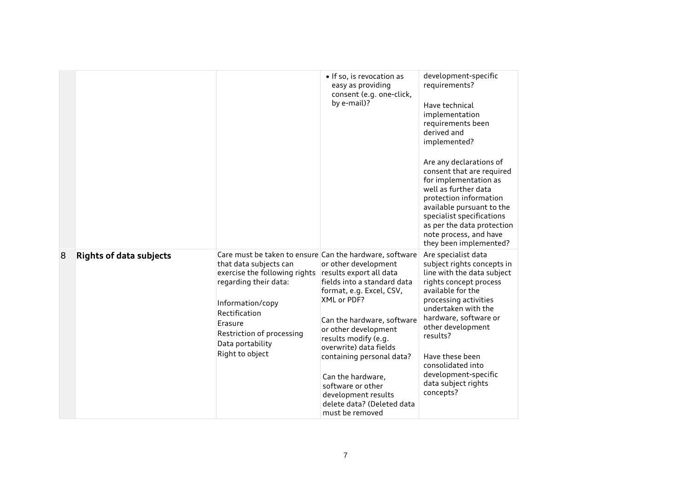|   |                                |                                                                                                                                                                                                                                                                 | · If so, is revocation as<br>easy as providing<br>consent (e.g. one-click,<br>by e-mail)?                                                                                                                                                                                                                                                                                        | development-specific<br>requirements?<br>Have technical<br>implementation<br>requirements been<br>derived and<br>implemented?<br>Are any declarations of<br>consent that are required<br>for implementation as<br>well as further data<br>protection information<br>available pursuant to the<br>specialist specifications<br>as per the data protection<br>note process, and have<br>they been implemented? |
|---|--------------------------------|-----------------------------------------------------------------------------------------------------------------------------------------------------------------------------------------------------------------------------------------------------------------|----------------------------------------------------------------------------------------------------------------------------------------------------------------------------------------------------------------------------------------------------------------------------------------------------------------------------------------------------------------------------------|--------------------------------------------------------------------------------------------------------------------------------------------------------------------------------------------------------------------------------------------------------------------------------------------------------------------------------------------------------------------------------------------------------------|
| 8 | <b>Rights of data subjects</b> | Care must be taken to ensure Can the hardware, software<br>that data subjects can<br>exercise the following rights<br>regarding their data:<br>Information/copy<br>Rectification<br>Erasure<br>Restriction of processing<br>Data portability<br>Right to object | or other development<br>results export all data<br>fields into a standard data<br>format, e.g. Excel, CSV,<br>XML or PDF?<br>Can the hardware, software<br>or other development<br>results modify (e.g.<br>overwrite) data fields<br>containing personal data?<br>Can the hardware,<br>software or other<br>development results<br>delete data? (Deleted data<br>must be removed | Are specialist data<br>subject rights concepts in<br>line with the data subject<br>rights concept process<br>available for the<br>processing activities<br>undertaken with the<br>hardware, software or<br>other development<br>results?<br>Have these been<br>consolidated into<br>development-specific<br>data subject rights<br>concepts?                                                                 |